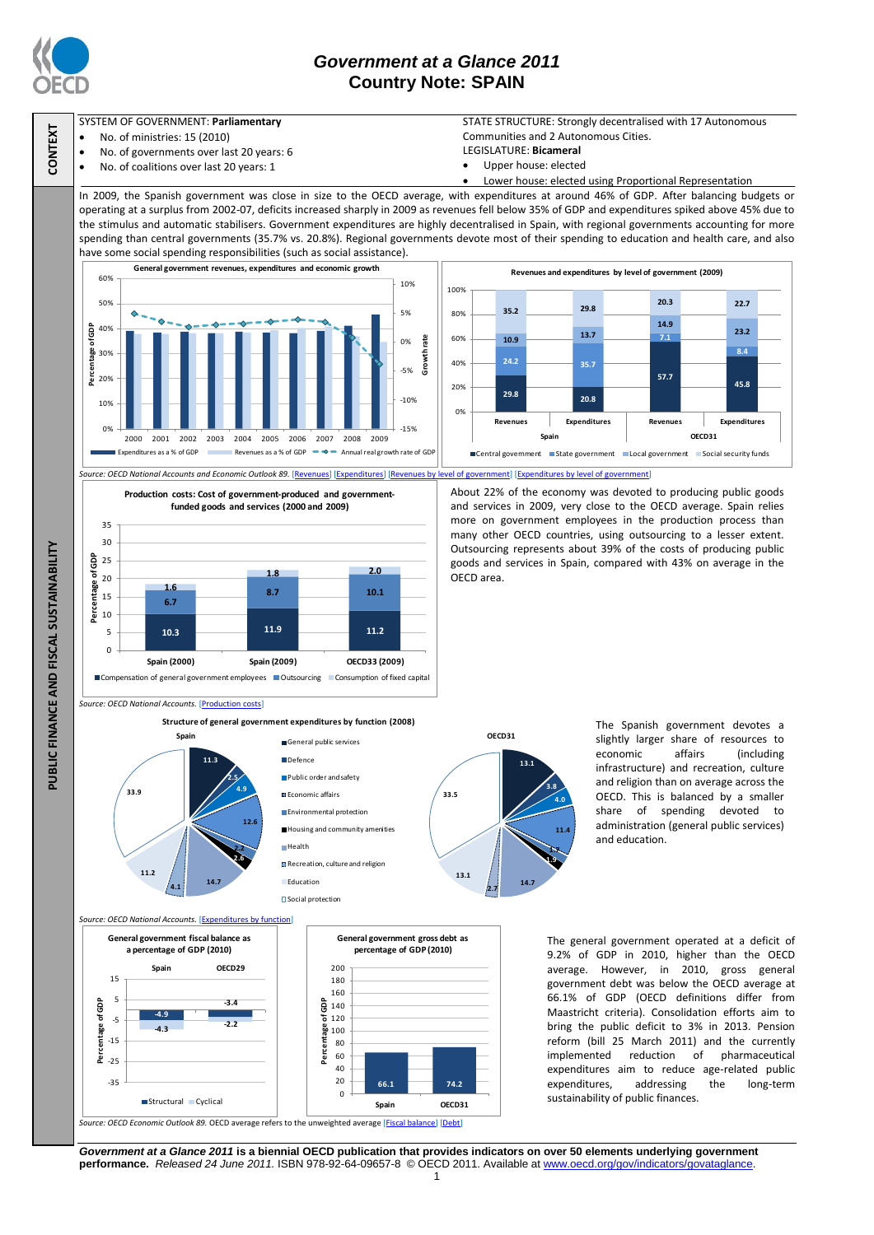

## *Government at a Glance 2011* **Country Note: SPAIN**



- No. of ministries: 15 (2010)
- No. of governments over last 20 years: 6
- No. of coalitions over last 20 years: 1

STATE STRUCTURE: Strongly decentralised with 17 Autonomous Communities and 2 Autonomous Cities.

- LEGISLATURE: **Bicameral**
- Upper house: elected

Lower house: elected using Proportional Representation

In 2009, the Spanish government was close in size to the OECD average, with expenditures at around 46% of GDP. After balancing budgets or operating at a surplus from 2002-07, deficits increased sharply in 2009 as revenues fell below 35% of GDP and expenditures spiked above 45% due to the stimulus and automatic stabilisers. Government expenditures are highly decentralised in Spain, with regional governments accounting for more spending than central governments (35.7% vs. 20.8%). Regional governments devote most of their spending to education and health care, and also have some social spending responsibilities (such as social assistance).



*Source: OECD National Accounts and Economic Outlook 89.* [\[Revenues\]](http://dx.doi.org/10.1787/888932389664) [\[Expenditures\]](http://dx.doi.org/10.1787/888932389873) [\[Revenues by level of government\]](http://dx.doi.org/10.1787/888932389778) [\[Expenditures by level of government\]](http://dx.doi.org/10.1787/888932389930)

**Production costs: Cost of government-produced and governmentfunded goods and services (2000 and 2009)**



## About 22% of the economy was devoted to producing public goods and services in 2009, very close to the OECD average. Spain relies more on government employees in the production process than many other OECD countries, using outsourcing to a lesser extent. Outsourcing represents about 39% of the costs of producing public goods and services in Spain, compared with 43% on average in the OECD area.

*Source: OECD National Accounts.* [\[Production costs\]](http://dx.doi.org/10.1787/888932390006)

**Structure of general government expenditures by function (2008)**



*Source: OECD National Accounts.* [\[Expenditures by function\]](http://dx.doi.org/10.1787/888932391792)

**-4.3 -2.2**

**Spain OECD29**

**-3.4**

**-4.9**

**Percentage of GDP (2010)**<br> **Percentage of GDP (2010)**<br> **Percentage of GDP (2010)**<br> **Percentage of GDP (2010)**<br> **Percentage of GDP**<br> **Percentage of GDP**<br> **Percentage of GDP**<br> **Percentage of Space of A3**<br> **Percentage of A3** 

**a percentage of GDP (2010)**

-35  $\frac{c}{25}$ -15 -5 5 15

General public services Defence **Public order and safety E** Economic affairs **Environmental protection** Housing and community amenities Health **Recreation, culture and religion Education** Social protection

**Percentage of GDP**



The Spanish government devotes a slightly larger share of resources to economic affairs (including infrastructure) and recreation, culture and religion than on average across the OECD. This is balanced by a smaller share of spending devoted to administration (general public services) and education.

The general government operated at a deficit of 9.2% of GDP in 2010, higher than the OECD average. However, in 2010, gross general government debt was below the OECD average at 66.1% of GDP (OECD definitions differ from Maastricht criteria). Consolidation efforts aim to bring the public deficit to 3% in 2013. Pension reform (bill 25 March 2011) and the currently implemented reduction of pharmaceutical expenditures aim to reduce age-related public expenditures, addressing the long-term sustainability of public finances.

 *Source: OECD Economic Outlook 89.* OECD average refers to the unweighted average [\[Fiscal balance\]](http://dx.doi.org/10.1787/888932390215) [\[Debt\]](http://dx.doi.org/10.1787/888932390234)  Structural Cyclical **Spain OECD31**

*Government at a Glance 2011* **is a biennial OECD publication that provides indicators on over 50 elements underlying government performance.** *Released 24 June 2011.* ISBN 978-92-64-09657-8 © OECD 2011. Available at www.oecd.org/gov/indicators/govataglance.

**66.1 74.2**

**General government gross debt as**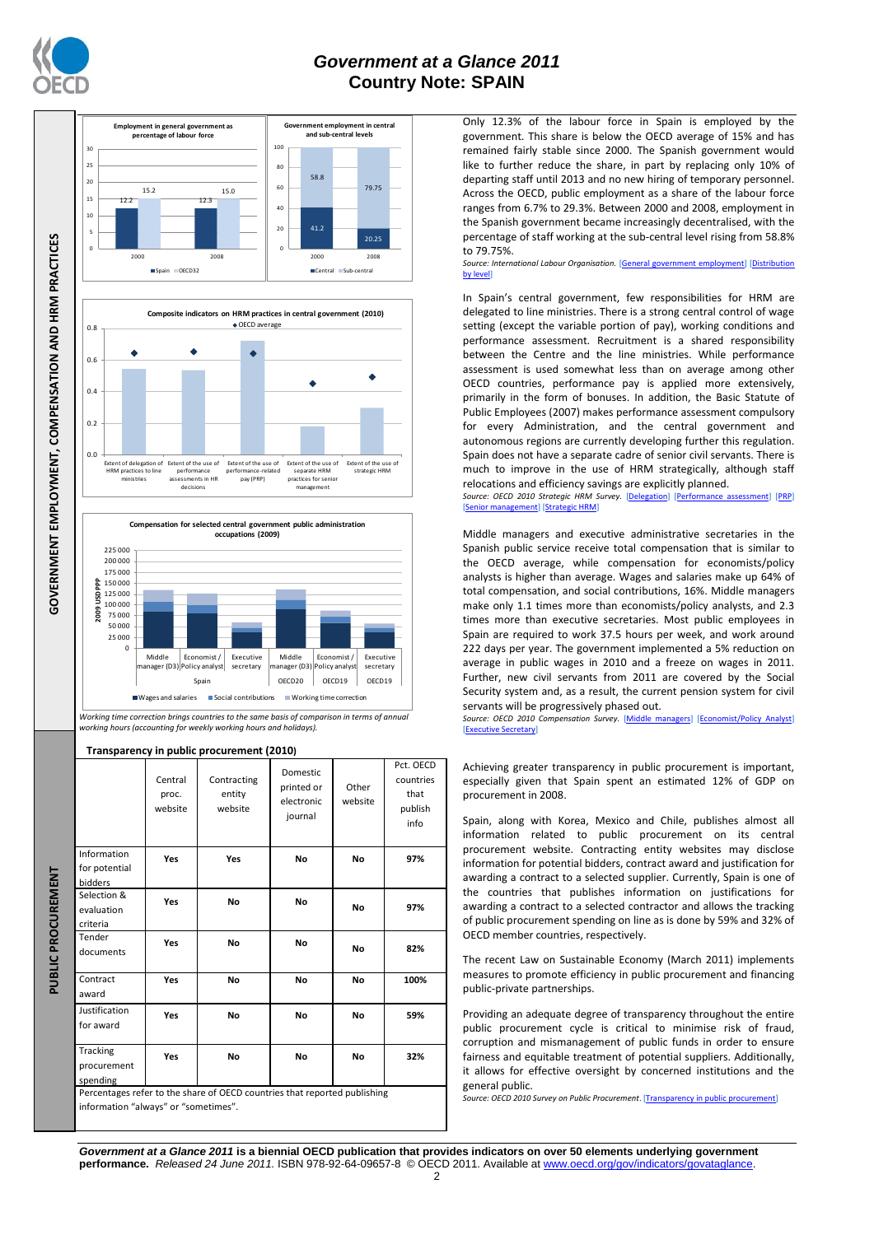

**GOVERNMENT EMPLOYMENT, COMPENSATION AND HRM PRACTICES** 

## *Government at a Glance 2011* **Country Note: SPAIN**





*Working time correction brings countries to the same basis of comparison in terms of annual working hours (accounting for weekly working hours and holidays).*

**Transparency in public procurement (2010)**

**PUBLIC PROCUREMENT**

PUBLIC PROCUREMENT

|                                         | Central<br>proc.<br>website | Contracting<br>entity<br>website                                          | <b>Domestic</b><br>printed or<br>electronic<br>journal | Other<br>website | Pct. OECD<br>countries<br>that<br>publish<br>info |
|-----------------------------------------|-----------------------------|---------------------------------------------------------------------------|--------------------------------------------------------|------------------|---------------------------------------------------|
| Information<br>for potential<br>bidders | Yes                         | Yes                                                                       | No                                                     | No               | 97%                                               |
| Selection &<br>evaluation<br>criteria   | Yes                         | <b>No</b>                                                                 | <b>No</b>                                              | No               | 97%                                               |
| Tender<br>documents                     | Yes                         | <b>No</b>                                                                 | <b>No</b>                                              | No               | 82%                                               |
| Contract<br>award                       | Yes                         | <b>No</b>                                                                 | <b>No</b>                                              | <b>No</b>        | 100%                                              |
| Justification<br>for award              | <b>Yes</b>                  | <b>No</b>                                                                 | No                                                     | No               | 59%                                               |
| Tracking<br>procurement<br>spending     | Yes                         | <b>No</b>                                                                 | <b>No</b>                                              | <b>No</b>        | 32%                                               |
| information "always" or "sometimes".    |                             | Percentages refer to the share of OECD countries that reported publishing |                                                        |                  |                                                   |

Only 12.3% of the labour force in Spain is employed by the government. This share is below the OECD average of 15% and has remained fairly stable since 2000. The Spanish government would like to further reduce the share, in part by replacing only 10% of departing staff until 2013 and no new hiring of temporary personnel. Across the OECD, public employment as a share of the labour force ranges from 6.7% to 29.3%. Between 2000 and 2008, employment in the Spanish government became increasingly decentralised, with the percentage of staff working at the sub-central level rising from 58.8% to 79.75%.

*Source: International Labour Organisation.* [\[General government employment\]](http://dx.doi.org/10.1787/888932390538) [\[Distribution](http://dx.doi.org/10.1787/888932390576)  by level<sup>®</sup>

In Spain's central government, few responsibilities for HRM are delegated to line ministries. There is a strong central control of wage setting (except the variable portion of pay), working conditions and performance assessment. Recruitment is a shared responsibility between the Centre and the line ministries. While performance assessment is used somewhat less than on average among other OECD countries, performance pay is applied more extensively, primarily in the form of bonuses. In addition, the Basic Statute of Public Employees (2007) makes performance assessment compulsory for every Administration, and the central government and autonomous regions are currently developing further this regulation. Spain does not have a separate cadre of senior civil servants. There is much to improve in the use of HRM strategically, although staff relocations and efficiency savings are explicitly planned.

Source: OECD 2010 Strategic HRM Survey. [\[Delegation\]](http://dx.doi.org/10.1787/888932390823) [\[Performance assessment\]](http://dx.doi.org/10.1787/888932390842) [PRP] [\[Senior management\]](http://dx.doi.org/10.1787/888932390424) [\[Strategic HRM\]](http://dx.doi.org/10.1787/888932390405)

Middle managers and executive administrative secretaries in the Spanish public service receive total compensation that is similar to the OECD average, while compensation for economists/policy analysts is higher than average. Wages and salaries make up 64% of total compensation, and social contributions, 16%. Middle managers make only 1.1 times more than economists/policy analysts, and 2.3 times more than executive secretaries. Most public employees in Spain are required to work 37.5 hours per week, and work around 222 days per year. The government implemented a 5% reduction on average in public wages in 2010 and a freeze on wages in 2011. Further, new civil servants from 2011 are covered by the Social Security system and, as a result, the current pension system for civil servants will be progressively phased out.

*Source: OECD 2010 Compensation Survey.* [\[Middle managers\]](http://dx.doi.org/10.1787/888932390766) [\[Economist/Policy Analyst\]](http://dx.doi.org/10.1787/888932390785)  [\[Executive Secretary\]](http://dx.doi.org/10.1787/888932390804)

Achieving greater transparency in public procurement is important, especially given that Spain spent an estimated 12% of GDP on procurement in 2008.

Spain, along with Korea, Mexico and Chile, publishes almost all information related to public procurement on its central procurement website. Contracting entity websites may disclose information for potential bidders, contract award and justification for awarding a contract to a selected supplier. Currently, Spain is one of the countries that publishes information on justifications for awarding a contract to a selected contractor and allows the tracking of public procurement spending on line as is done by 59% and 32% of OECD member countries, respectively.

The recent Law on Sustainable Economy (March 2011) implements measures to promote efficiency in public procurement and financing public-private partnerships.

Providing an adequate degree of transparency throughout the entire public procurement cycle is critical to minimise risk of fraud, corruption and mismanagement of public funds in order to ensure fairness and equitable treatment of potential suppliers. Additionally, it allows for effective oversight by concerned institutions and the general public.

*Source: OECD 2010 Survey on Public Procurement*. [\[Transparency in public procurement\]](http://dx.doi.org/10.1787/888932392419)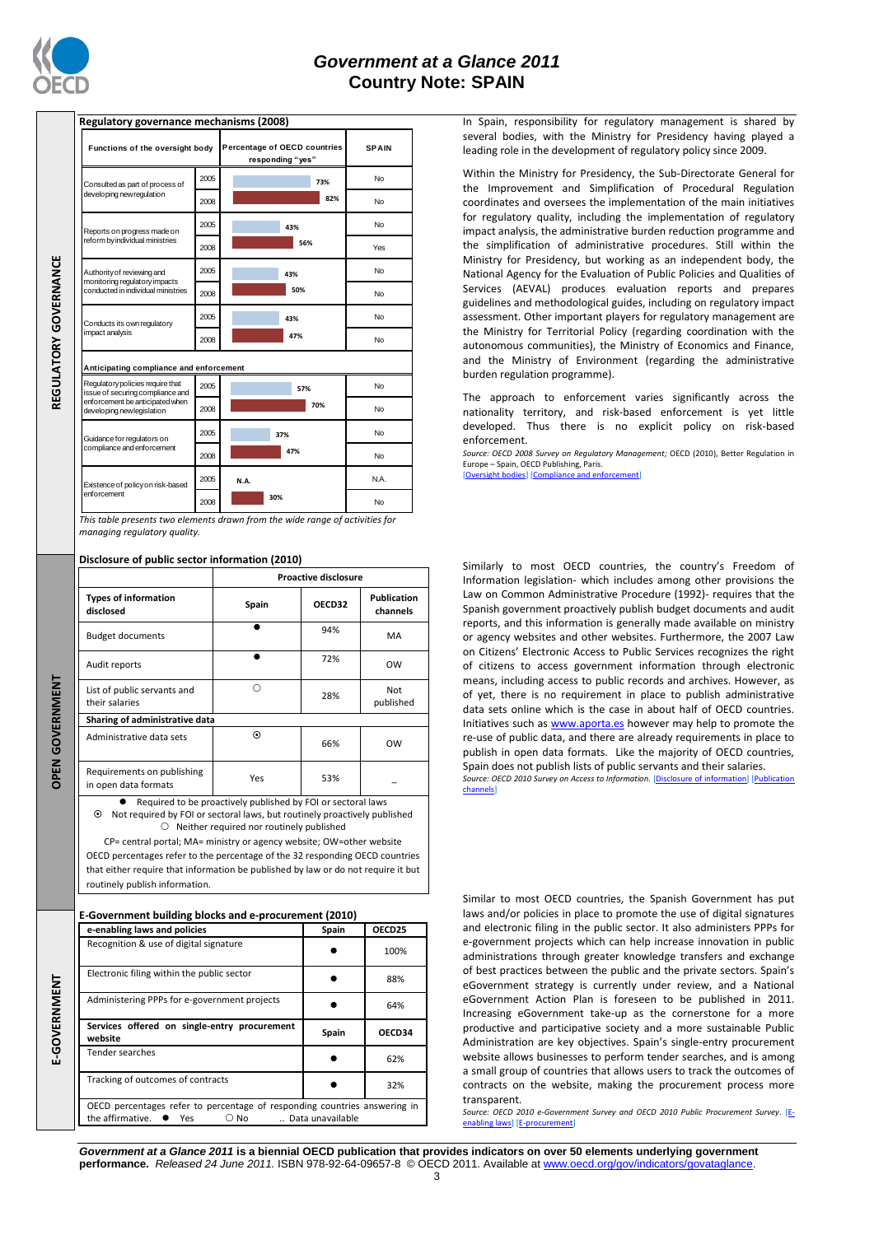

REGULATORY GOVERNANCE

**OPEN GOVERNMENT**

**DPEN GOVERNMENT** 

E-GOVERNMENT

**E-GOVERNMENTATORY GOVERNMENT CONTROLS AND REGULATION CONTROLS AND REGULATION CONTROLS AND REGULATION CONTROLS AND REGULATION CONTROLS AND REGULATION CONTROLS AND REGULATION CONTROLS AND REGULATION CONTROLS AND REGULATION** 

## *Government at a Glance 2011* **Country Note: SPAIN**

| Regulatory governance mechanisms (2008)                              |      |                                                  |              |
|----------------------------------------------------------------------|------|--------------------------------------------------|--------------|
| Functions of the oversight body                                      |      | Percentage of OECD countries<br>responding "yes" | <b>SPAIN</b> |
| Consulted as part of process of                                      | 2005 | 73%                                              | No           |
| developing new regulation                                            | 2008 | 82%                                              | No           |
| Reports on progress made on                                          | 2005 | 43%                                              | No           |
| reform by individual ministries                                      | 2008 | 56%                                              | Yes          |
| Authority of reviewing and<br>monitoring regulatory impacts          | 2005 | 43%                                              | No           |
| conducted in individual ministries                                   | 2008 | 50%                                              | No           |
| Conducts its own requlatory                                          | 2005 | 43%                                              | No           |
| impact analysis                                                      | 2008 | 47%                                              | No           |
| Anticipating compliance and enforcement                              |      |                                                  |              |
| Regulatory policies require that<br>issue of securing compliance and | 2005 | 57%                                              | No           |
| enforcement be anticipated when<br>developing new legislation        | 2008 | 70%                                              | No           |
| Guidance for regulators on                                           | 2005 | 37%                                              | No           |
| compliance and enforcement                                           | 2008 | 47%                                              | <b>No</b>    |
| Existence of policy on risk-based                                    | 2005 | N.A.                                             | N.A.         |
| enforcement                                                          | 2008 | 30%                                              | No           |

*This table presents two elements drawn from the wide range of activities for managing regulatory quality.*

**Disclosure of public sector information (2010)**

|                                                              | <b>Proactive disclosure</b> |        |                                |  |  |  |
|--------------------------------------------------------------|-----------------------------|--------|--------------------------------|--|--|--|
| <b>Types of information</b><br>disclosed                     | Spain                       | OECD32 | <b>Publication</b><br>channels |  |  |  |
| <b>Budget documents</b>                                      |                             | 94%    | MA                             |  |  |  |
| Audit reports                                                |                             | 72%    | <b>OW</b>                      |  |  |  |
| List of public servants and<br>their salaries                | ∩                           | 28%    | Not<br>published               |  |  |  |
| Sharing of administrative data                               |                             |        |                                |  |  |  |
| Administrative data sets                                     | $\odot$                     | 66%    | OW                             |  |  |  |
| Requirements on publishing<br>in open data formats           | Yes                         | 53%    |                                |  |  |  |
| Required to be proactively published by FOI or sectoral laws |                             |        |                                |  |  |  |

 Not required by FOI or sectoral laws, but routinely proactively published  $\bigcirc$  Neither required nor routinely published

CP= central portal; MA= ministry or agency website; OW=other website OECD percentages refer to the percentage of the 32 responding OECD countries that either require that information be published by law or do not require it but routinely publish information.

**E-Government building blocks and e-procurement (2010)**

| e-enabling laws and policies                                                                                                               | Spain | OECD25 |  |  |
|--------------------------------------------------------------------------------------------------------------------------------------------|-------|--------|--|--|
| Recognition & use of digital signature                                                                                                     |       | 100%   |  |  |
| Electronic filing within the public sector                                                                                                 |       | 88%    |  |  |
| Administering PPPs for e-government projects                                                                                               |       | 64%    |  |  |
| Services offered on single-entry procurement<br>website                                                                                    | Spain | OECD34 |  |  |
| Tender searches                                                                                                                            |       | 62%    |  |  |
| Tracking of outcomes of contracts                                                                                                          |       | 32%    |  |  |
| OECD percentages refer to percentage of responding countries answering in<br>the affirmative. $\bullet$ Yes $\circ$ No<br>Data unavailable |       |        |  |  |

In Spain, responsibility for regulatory management is shared by several bodies, with the Ministry for Presidency having played a leading role in the development of regulatory policy since 2009.

Within the Ministry for Presidency, the Sub-Directorate General for the Improvement and Simplification of Procedural Regulation coordinates and oversees the implementation of the main initiatives for regulatory quality, including the implementation of regulatory impact analysis, the administrative burden reduction programme and the simplification of administrative procedures. Still within the Ministry for Presidency, but working as an independent body, the National Agency for the Evaluation of Public Policies and Qualities of Services (AEVAL) produces evaluation reports and prepares guidelines and methodological guides, including on regulatory impact assessment. Other important players for regulatory management are the Ministry for Territorial Policy (regarding coordination with the autonomous communities), the Ministry of Economics and Finance, and the Ministry of Environment (regarding the administrative burden regulation programme).

The approach to enforcement varies significantly across the nationality territory, and risk-based enforcement is yet little developed. Thus there is no explicit policy on risk-based enforcement.

*Source: OECD 2008 Survey on Regulatory Management;* OECD (2010), Better Regulation in Europe – Spain, OECD Publishing, Paris.

[\[Oversight bodies\]](http://dx.doi.org/10.1787/888932391127) [Com

Similarly to most OECD countries, the country's Freedom of Information legislation- which includes among other provisions the Law on Common Administrative Procedure (1992)- requires that the Spanish government proactively publish budget documents and audit reports, and this information is generally made available on ministry or agency websites and other websites. Furthermore, the 2007 Law on Citizens' Electronic Access to Public Services recognizes the right of citizens to access government information through electronic means, including access to public records and archives. However, as of yet, there is no requirement in place to publish administrative data sets online which is the case in about half of OECD countries. Initiatives such a[s www.aporta.es](http://www.aporta.es/) however may help to promote the re-use of public data, and there are already requirements in place to publish in open data formats. Like the majority of OECD countries, Spain does not publish lists of public servants and their salaries. *Source: OECD 2010 Survey on Access to Information.* [\[Disclosure of information\]](http://dx.doi.org/10.1787/888932392153) [\[Publication](http://dx.doi.org/10.1787/888932392172)  [channels\]](http://dx.doi.org/10.1787/888932392172)

Similar to most OECD countries, the Spanish Government has put laws and/or policies in place to promote the use of digital signatures and electronic filing in the public sector. It also administers PPPs for e-government projects which can help increase innovation in public administrations through greater knowledge transfers and exchange of best practices between the public and the private sectors. Spain's eGovernment strategy is currently under review, and a National eGovernment Action Plan is foreseen to be published in 2011. Increasing eGovernment take-up as the cornerstone for a more productive and participative society and a more sustainable Public Administration are key objectives. Spain's single-entry procurement website allows businesses to perform tender searches, and is among a small group of countries that allows users to track the outcomes of contracts on the website, making the procurement process more transparent.

*Source: OECD 2010 e-Government Survey and OECD 2010 Public Procurement Survey.* [\[E](http://dx.doi.org/10.1787/888932390519)[enabling laws\]](http://dx.doi.org/10.1787/888932390519) [\[E-procurement\]](http://dx.doi.org/10.1787/888932391089)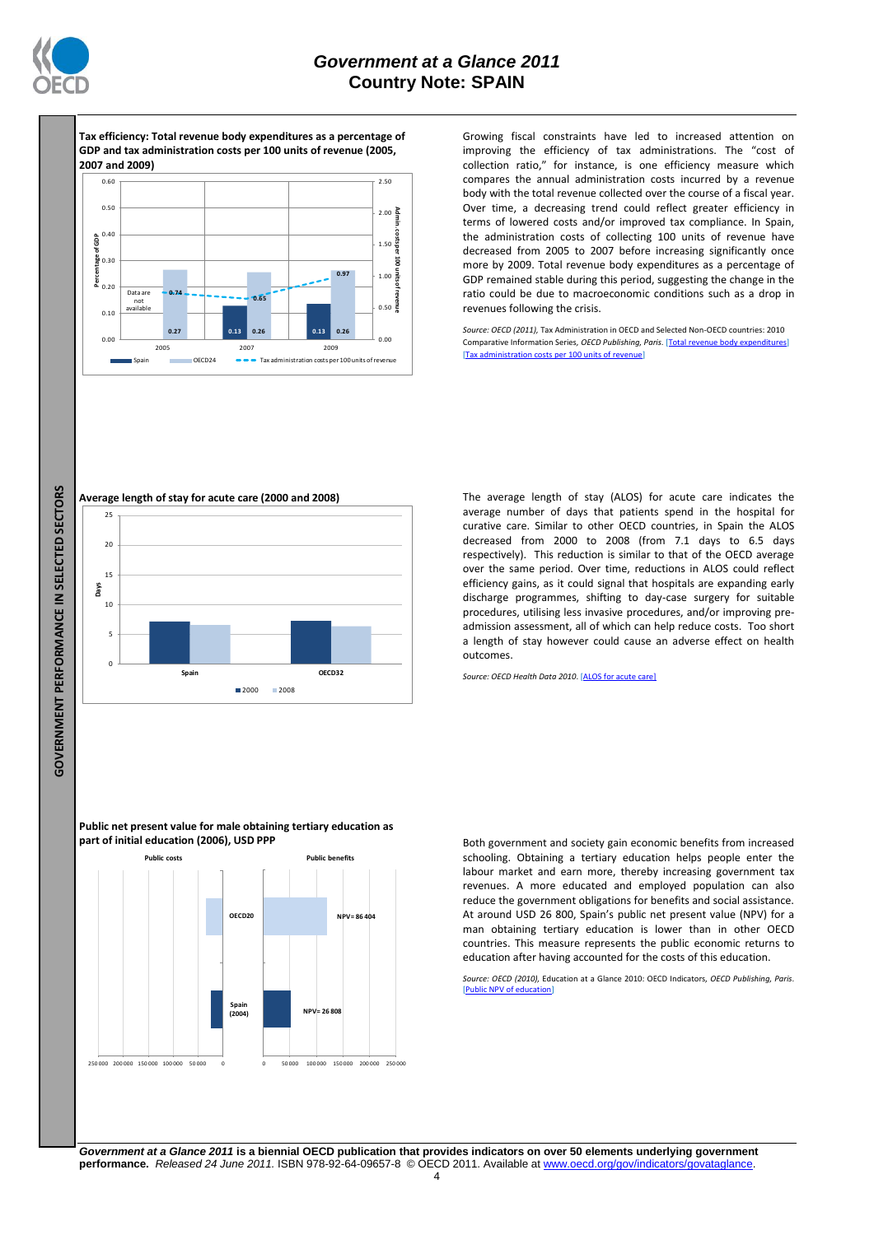

**Tax efficiency: Total revenue body expenditures as a percentage of GDP and tax administration costs per 100 units of revenue (2005, 2007 and 2009)**



Growing fiscal constraints have led to increased attention on improving the efficiency of tax administrations. The "cost of collection ratio," for instance, is one efficiency measure which compares the annual administration costs incurred by a revenue body with the total revenue collected over the course of a fiscal year. Over time, a decreasing trend could reflect greater efficiency in terms of lowered costs and/or improved tax compliance. In Spain, the administration costs of collecting 100 units of revenue have decreased from 2005 to 2007 before increasing significantly once more by 2009. Total revenue body expenditures as a percentage of GDP remained stable during this period, suggesting the change in the ratio could be due to macroeconomic conditions such as a drop in revenues following the crisis.

*Source: OECD (2011),* Tax Administration in OECD and Selected Non-OECD countries: 2010 Comparative Information Series, OECD Publishing, Paris. [Total revenue body expenditures] [\[Tax administration costs per 100 units of revenue\]](http://dx.doi.org/10.1787/888932391754)



The average length of stay (ALOS) for acute care indicates the average number of days that patients spend in the hospital for curative care. Similar to other OECD countries, in Spain the ALOS decreased from 2000 to 2008 (from 7.1 days to 6.5 days respectively). This reduction is similar to that of the OECD average over the same period. Over time, reductions in ALOS could reflect efficiency gains, as it could signal that hospitals are expanding early discharge programmes, shifting to day-case surgery for suitable procedures, utilising less invasive procedures, and/or improving preadmission assessment, all of which can help reduce costs. Too short a length of stay however could cause an adverse effect on health outcomes.

*Source: OECD Health Data 2010*. [\[ALOS for acute care\]](http://dx.doi.org/10.1787/888932391697)

**Public net present value for male obtaining tertiary education as part of initial education (2006), USD PPP**



Both government and society gain economic benefits from increased schooling. Obtaining a tertiary education helps people enter the labour market and earn more, thereby increasing government tax revenues. A more educated and employed population can also reduce the government obligations for benefits and social assistance. At around USD 26 800, Spain's public net present value (NPV) for a man obtaining tertiary education is lower than in other OECD countries. This measure represents the public economic returns to education after having accounted for the costs of this education.

*Source: OECD (2010),* Education at a Glance 2010: OECD Indicators*, OECD Publishing, Paris*. [\[Public NPV of education\]](http://dx.doi.org/10.1787/888932391583)